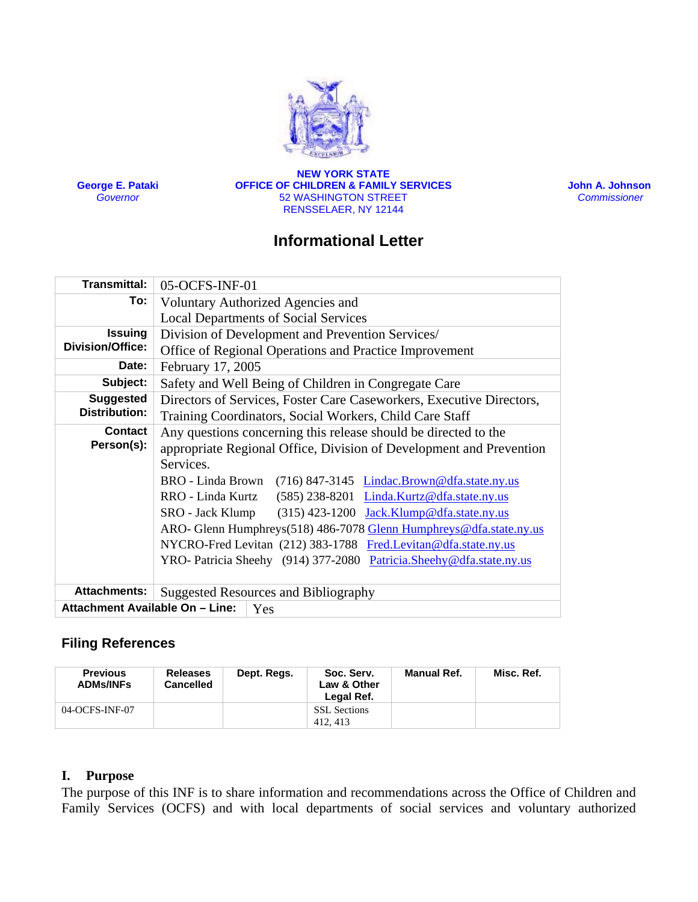

**George E. Pataki** *Governor*

**NEW YORK STATE OFFICE OF CHILDREN & FAMILY SERVICES** 52 WASHINGTON STREET RENSSELAER, NY 12144

 **John A. Johnson**  *Commissioner* 

# **Informational Letter**

| <b>Transmittal:</b>                       | 05-OCFS-INF-01                                                        |  |  |  |  |  |
|-------------------------------------------|-----------------------------------------------------------------------|--|--|--|--|--|
| To: l                                     | Voluntary Authorized Agencies and                                     |  |  |  |  |  |
|                                           | <b>Local Departments of Social Services</b>                           |  |  |  |  |  |
| <b>Issuing</b><br><b>Division/Office:</b> | Division of Development and Prevention Services/                      |  |  |  |  |  |
|                                           | Office of Regional Operations and Practice Improvement                |  |  |  |  |  |
| Date:                                     | February 17, 2005                                                     |  |  |  |  |  |
| Subject:                                  | Safety and Well Being of Children in Congregate Care                  |  |  |  |  |  |
| <b>Suggested</b><br><b>Distribution:</b>  | Directors of Services, Foster Care Caseworkers, Executive Directors,  |  |  |  |  |  |
|                                           | Training Coordinators, Social Workers, Child Care Staff               |  |  |  |  |  |
| <b>Contact</b><br>Person(s):              | Any questions concerning this release should be directed to the       |  |  |  |  |  |
|                                           | appropriate Regional Office, Division of Development and Prevention   |  |  |  |  |  |
|                                           | Services.                                                             |  |  |  |  |  |
|                                           | BRO - Linda Brown (716) 847-3145 <i>Lindac.Brown@dfa.state.ny.us</i>  |  |  |  |  |  |
|                                           | RRO - Linda Kurtz (585) 238-8201 Linda.Kurtz@dfa.state.ny.us          |  |  |  |  |  |
|                                           | $(315)$ 423-1200 Jack.Klump@dfa.state.ny.us<br>SRO - Jack Klump       |  |  |  |  |  |
|                                           | ARO- Glenn Humphreys(518) 486-7078 Glenn Humphreys@dfa.state.ny.us    |  |  |  |  |  |
|                                           | NYCRO-Fred Levitan (212) 383-1788 Fred.Levitan@dfa.state.ny.us        |  |  |  |  |  |
|                                           | YRO- Patricia Sheehy (914) 377-2080 Patricia. Sheehy @dfa.state.ny.us |  |  |  |  |  |
|                                           |                                                                       |  |  |  |  |  |
| <b>Attachments:</b>                       | <b>Suggested Resources and Bibliography</b>                           |  |  |  |  |  |
| Attachment Available On - Line:<br>Yes    |                                                                       |  |  |  |  |  |

# **Filing References**

| <b>Previous</b><br><b>ADMs/INFs</b> | <b>Releases</b><br><b>Cancelled</b> | Dept. Regs. | Soc. Serv.<br>Law & Other<br>Legal Ref. | Manual Ref. | Misc. Ref. |
|-------------------------------------|-------------------------------------|-------------|-----------------------------------------|-------------|------------|
| 04-OCFS-INF-07                      |                                     |             | <b>SSL</b> Sections<br>412.413          |             |            |

### **I. Purpose**

The purpose of this INF is to share information and recommendations across the Office of Children and Family Services (OCFS) and with local departments of social services and voluntary authorized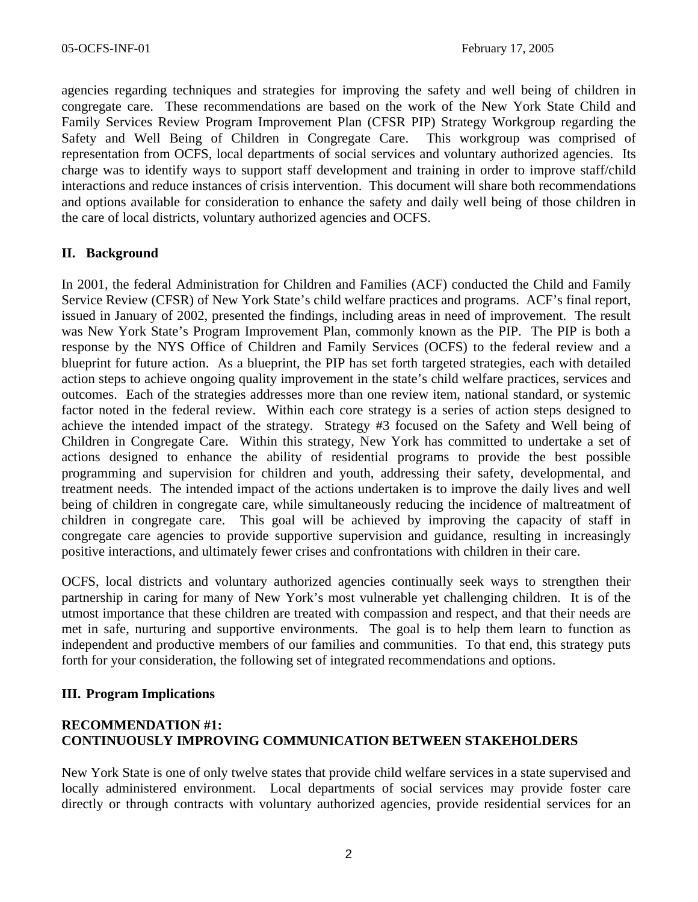agencies regarding techniques and strategies for improving the safety and well being of children in congregate care. These recommendations are based on the work of the New York State Child and Family Services Review Program Improvement Plan (CFSR PIP) Strategy Workgroup regarding the Safety and Well Being of Children in Congregate Care. This workgroup was comprised of representation from OCFS, local departments of social services and voluntary authorized agencies. Its charge was to identify ways to support staff development and training in order to improve staff/child interactions and reduce instances of crisis intervention. This document will share both recommendations and options available for consideration to enhance the safety and daily well being of those children in the care of local districts, voluntary authorized agencies and OCFS.

# **II. Background**

In 2001, the federal Administration for Children and Families (ACF) conducted the Child and Family Service Review (CFSR) of New York State's child welfare practices and programs. ACF's final report, issued in January of 2002, presented the findings, including areas in need of improvement. The result was New York State's Program Improvement Plan, commonly known as the PIP. The PIP is both a response by the NYS Office of Children and Family Services (OCFS) to the federal review and a blueprint for future action. As a blueprint, the PIP has set forth targeted strategies, each with detailed action steps to achieve ongoing quality improvement in the state's child welfare practices, services and outcomes. Each of the strategies addresses more than one review item, national standard, or systemic factor noted in the federal review. Within each core strategy is a series of action steps designed to achieve the intended impact of the strategy. Strategy #3 focused on the Safety and Well being of Children in Congregate Care. Within this strategy, New York has committed to undertake a set of actions designed to enhance the ability of residential programs to provide the best possible programming and supervision for children and youth, addressing their safety, developmental, and treatment needs. The intended impact of the actions undertaken is to improve the daily lives and well being of children in congregate care, while simultaneously reducing the incidence of maltreatment of children in congregate care. This goal will be achieved by improving the capacity of staff in congregate care agencies to provide supportive supervision and guidance, resulting in increasingly positive interactions, and ultimately fewer crises and confrontations with children in their care.

OCFS, local districts and voluntary authorized agencies continually seek ways to strengthen their partnership in caring for many of New York's most vulnerable yet challenging children. It is of the utmost importance that these children are treated with compassion and respect, and that their needs are met in safe, nurturing and supportive environments. The goal is to help them learn to function as independent and productive members of our families and communities. To that end, this strategy puts forth for your consideration, the following set of integrated recommendations and options.

### **III. Program Implications**

# **RECOMMENDATION #1: CONTINUOUSLY IMPROVING COMMUNICATION BETWEEN STAKEHOLDERS**

New York State is one of only twelve states that provide child welfare services in a state supervised and locally administered environment. Local departments of social services may provide foster care directly or through contracts with voluntary authorized agencies, provide residential services for an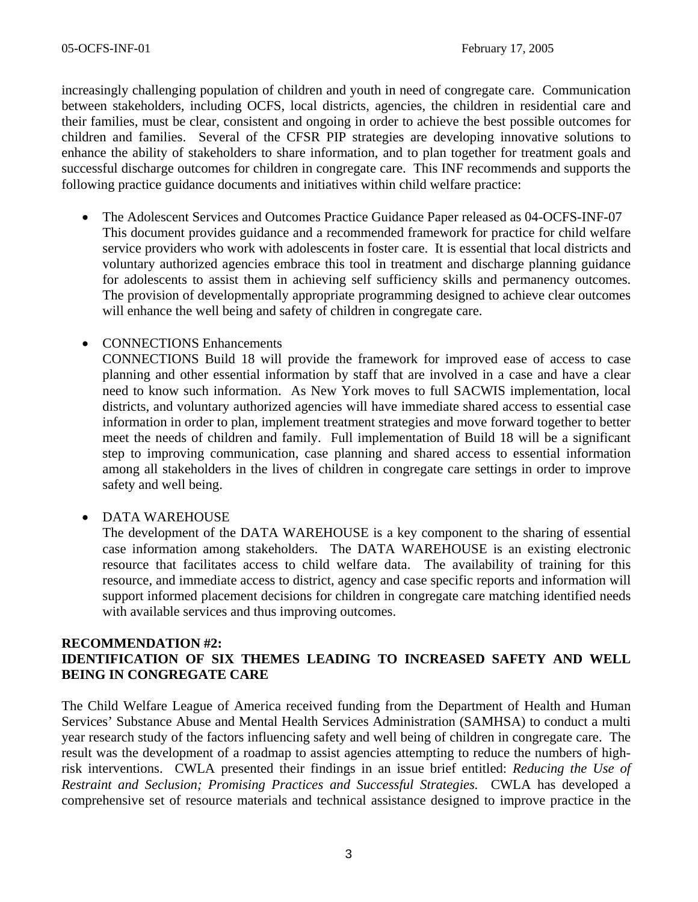increasingly challenging population of children and youth in need of congregate care. Communication between stakeholders, including OCFS, local districts, agencies, the children in residential care and their families, must be clear, consistent and ongoing in order to achieve the best possible outcomes for children and families. Several of the CFSR PIP strategies are developing innovative solutions to enhance the ability of stakeholders to share information, and to plan together for treatment goals and successful discharge outcomes for children in congregate care. This INF recommends and supports the following practice guidance documents and initiatives within child welfare practice:

• The Adolescent Services and Outcomes Practice Guidance Paper released as 04-OCFS-INF-07 This document provides guidance and a recommended framework for practice for child welfare service providers who work with adolescents in foster care. It is essential that local districts and voluntary authorized agencies embrace this tool in treatment and discharge planning guidance for adolescents to assist them in achieving self sufficiency skills and permanency outcomes. The provision of developmentally appropriate programming designed to achieve clear outcomes will enhance the well being and safety of children in congregate care.

# • CONNECTIONS Enhancements

CONNECTIONS Build 18 will provide the framework for improved ease of access to case planning and other essential information by staff that are involved in a case and have a clear need to know such information. As New York moves to full SACWIS implementation, local districts, and voluntary authorized agencies will have immediate shared access to essential case information in order to plan, implement treatment strategies and move forward together to better meet the needs of children and family. Full implementation of Build 18 will be a significant step to improving communication, case planning and shared access to essential information among all stakeholders in the lives of children in congregate care settings in order to improve safety and well being.

### • DATA WAREHOUSE

The development of the DATA WAREHOUSE is a key component to the sharing of essential case information among stakeholders. The DATA WAREHOUSE is an existing electronic resource that facilitates access to child welfare data. The availability of training for this resource, and immediate access to district, agency and case specific reports and information will support informed placement decisions for children in congregate care matching identified needs with available services and thus improving outcomes.

### **RECOMMENDATION #2: IDENTIFICATION OF SIX THEMES LEADING TO INCREASED SAFETY AND WELL BEING IN CONGREGATE CARE**

The Child Welfare League of America received funding from the Department of Health and Human Services' Substance Abuse and Mental Health Services Administration (SAMHSA) to conduct a multi year research study of the factors influencing safety and well being of children in congregate care. The result was the development of a roadmap to assist agencies attempting to reduce the numbers of highrisk interventions. CWLA presented their findings in an issue brief entitled: *Reducing the Use of Restraint and Seclusion; Promising Practices and Successful Strategies.* CWLA has developed a comprehensive set of resource materials and technical assistance designed to improve practice in the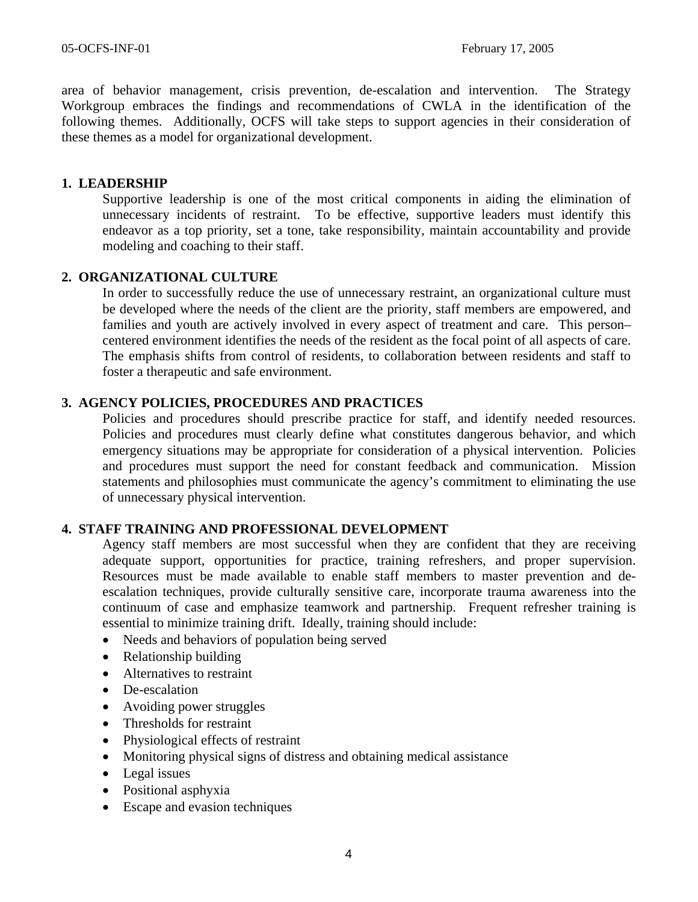area of behavior management, crisis prevention, de-escalation and intervention. The Strategy Workgroup embraces the findings and recommendations of CWLA in the identification of the following themes. Additionally, OCFS will take steps to support agencies in their consideration of these themes as a model for organizational development.

### **1. LEADERSHIP**

Supportive leadership is one of the most critical components in aiding the elimination of unnecessary incidents of restraint. To be effective, supportive leaders must identify this endeavor as a top priority, set a tone, take responsibility, maintain accountability and provide modeling and coaching to their staff.

# **2. ORGANIZATIONAL CULTURE**

In order to successfully reduce the use of unnecessary restraint, an organizational culture must be developed where the needs of the client are the priority, staff members are empowered, and families and youth are actively involved in every aspect of treatment and care. This person– centered environment identifies the needs of the resident as the focal point of all aspects of care. The emphasis shifts from control of residents, to collaboration between residents and staff to foster a therapeutic and safe environment.

# **3. AGENCY POLICIES, PROCEDURES AND PRACTICES**

Policies and procedures should prescribe practice for staff, and identify needed resources. Policies and procedures must clearly define what constitutes dangerous behavior, and which emergency situations may be appropriate for consideration of a physical intervention. Policies and procedures must support the need for constant feedback and communication. Mission statements and philosophies must communicate the agency's commitment to eliminating the use of unnecessary physical intervention.

# **4. STAFF TRAINING AND PROFESSIONAL DEVELOPMENT**

Agency staff members are most successful when they are confident that they are receiving adequate support, opportunities for practice, training refreshers, and proper supervision. Resources must be made available to enable staff members to master prevention and deescalation techniques, provide culturally sensitive care, incorporate trauma awareness into the continuum of case and emphasize teamwork and partnership. Frequent refresher training is essential to minimize training drift. Ideally, training should include:

- Needs and behaviors of population being served
- Relationship building
- Alternatives to restraint
- De-escalation
- Avoiding power struggles
- Thresholds for restraint
- Physiological effects of restraint
- Monitoring physical signs of distress and obtaining medical assistance
- Legal issues
- Positional asphyxia
- Escape and evasion techniques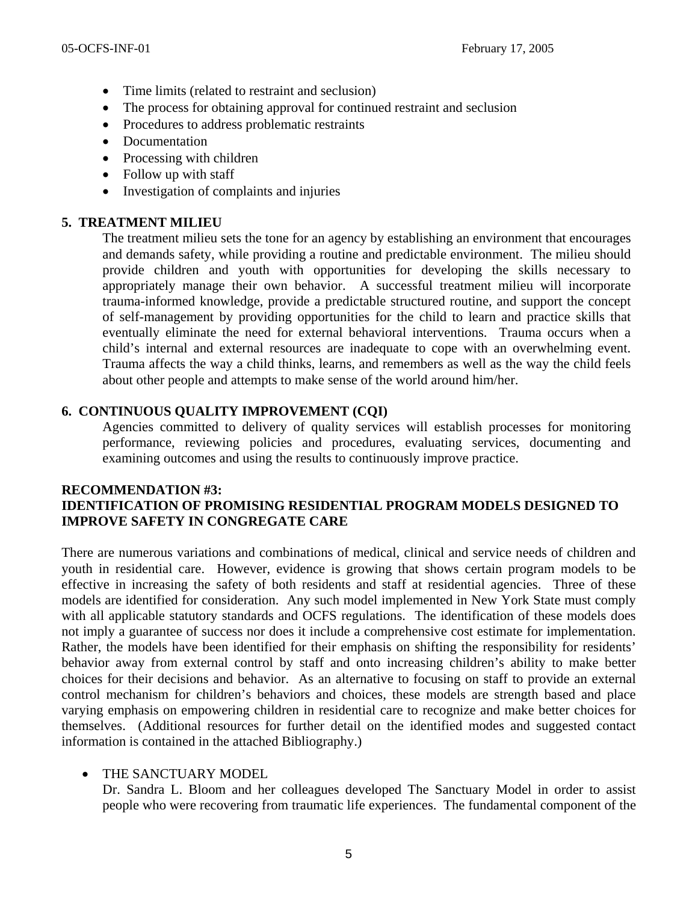- Time limits (related to restraint and seclusion)
- The process for obtaining approval for continued restraint and seclusion
- Procedures to address problematic restraints
- Documentation
- Processing with children
- Follow up with staff
- Investigation of complaints and injuries

# **5. TREATMENT MILIEU**

The treatment milieu sets the tone for an agency by establishing an environment that encourages and demands safety, while providing a routine and predictable environment. The milieu should provide children and youth with opportunities for developing the skills necessary to appropriately manage their own behavior. A successful treatment milieu will incorporate trauma-informed knowledge, provide a predictable structured routine, and support the concept of self-management by providing opportunities for the child to learn and practice skills that eventually eliminate the need for external behavioral interventions. Trauma occurs when a child's internal and external resources are inadequate to cope with an overwhelming event. Trauma affects the way a child thinks, learns, and remembers as well as the way the child feels about other people and attempts to make sense of the world around him/her.

# **6. CONTINUOUS QUALITY IMPROVEMENT (CQI)**

Agencies committed to delivery of quality services will establish processes for monitoring performance, reviewing policies and procedures, evaluating services, documenting and examining outcomes and using the results to continuously improve practice.

# **RECOMMENDATION #3: IDENTIFICATION OF PROMISING RESIDENTIAL PROGRAM MODELS DESIGNED TO IMPROVE SAFETY IN CONGREGATE CARE**

There are numerous variations and combinations of medical, clinical and service needs of children and youth in residential care. However, evidence is growing that shows certain program models to be effective in increasing the safety of both residents and staff at residential agencies. Three of these models are identified for consideration. Any such model implemented in New York State must comply with all applicable statutory standards and OCFS regulations. The identification of these models does not imply a guarantee of success nor does it include a comprehensive cost estimate for implementation. Rather, the models have been identified for their emphasis on shifting the responsibility for residents' behavior away from external control by staff and onto increasing children's ability to make better choices for their decisions and behavior. As an alternative to focusing on staff to provide an external control mechanism for children's behaviors and choices, these models are strength based and place varying emphasis on empowering children in residential care to recognize and make better choices for themselves. (Additional resources for further detail on the identified modes and suggested contact information is contained in the attached Bibliography.)

# • THE SANCTUARY MODEL

Dr. Sandra L. Bloom and her colleagues developed The Sanctuary Model in order to assist people who were recovering from traumatic life experiences. The fundamental component of the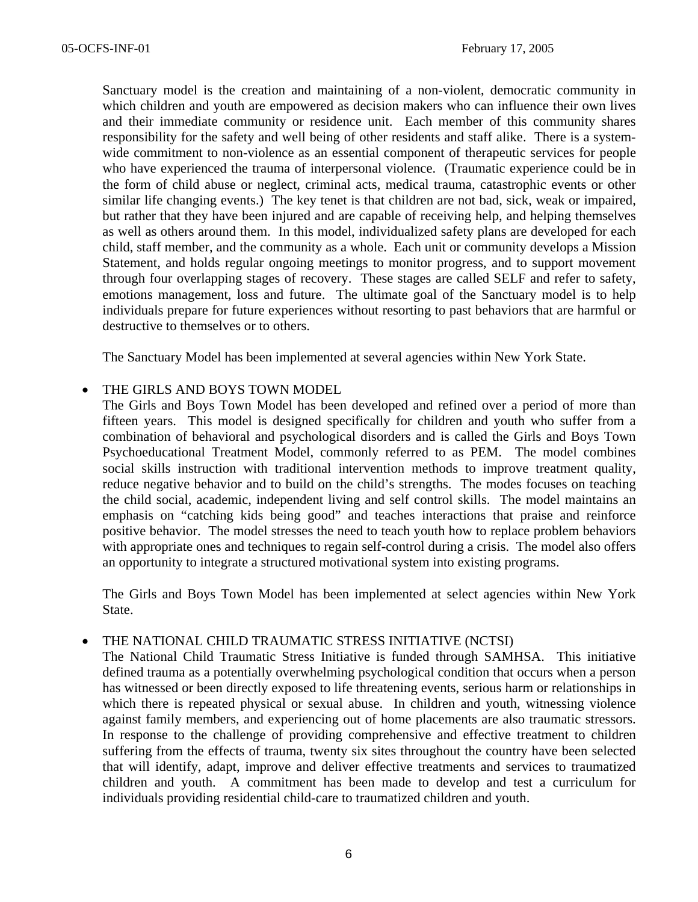Sanctuary model is the creation and maintaining of a non-violent, democratic community in which children and youth are empowered as decision makers who can influence their own lives and their immediate community or residence unit. Each member of this community shares responsibility for the safety and well being of other residents and staff alike. There is a systemwide commitment to non-violence as an essential component of therapeutic services for people who have experienced the trauma of interpersonal violence. (Traumatic experience could be in the form of child abuse or neglect, criminal acts, medical trauma, catastrophic events or other similar life changing events.) The key tenet is that children are not bad, sick, weak or impaired, but rather that they have been injured and are capable of receiving help, and helping themselves as well as others around them. In this model, individualized safety plans are developed for each child, staff member, and the community as a whole. Each unit or community develops a Mission Statement, and holds regular ongoing meetings to monitor progress, and to support movement through four overlapping stages of recovery. These stages are called SELF and refer to safety, emotions management, loss and future. The ultimate goal of the Sanctuary model is to help individuals prepare for future experiences without resorting to past behaviors that are harmful or destructive to themselves or to others.

The Sanctuary Model has been implemented at several agencies within New York State.

#### THE GIRLS AND BOYS TOWN MODEL

The Girls and Boys Town Model has been developed and refined over a period of more than fifteen years. This model is designed specifically for children and youth who suffer from a combination of behavioral and psychological disorders and is called the Girls and Boys Town Psychoeducational Treatment Model, commonly referred to as PEM. The model combines social skills instruction with traditional intervention methods to improve treatment quality, reduce negative behavior and to build on the child's strengths. The modes focuses on teaching the child social, academic, independent living and self control skills. The model maintains an emphasis on "catching kids being good" and teaches interactions that praise and reinforce positive behavior. The model stresses the need to teach youth how to replace problem behaviors with appropriate ones and techniques to regain self-control during a crisis. The model also offers an opportunity to integrate a structured motivational system into existing programs.

The Girls and Boys Town Model has been implemented at select agencies within New York State.

#### • THE NATIONAL CHILD TRAUMATIC STRESS INITIATIVE (NCTSI)

The National Child Traumatic Stress Initiative is funded through SAMHSA. This initiative defined trauma as a potentially overwhelming psychological condition that occurs when a person has witnessed or been directly exposed to life threatening events, serious harm or relationships in which there is repeated physical or sexual abuse. In children and youth, witnessing violence against family members, and experiencing out of home placements are also traumatic stressors. In response to the challenge of providing comprehensive and effective treatment to children suffering from the effects of trauma, twenty six sites throughout the country have been selected that will identify, adapt, improve and deliver effective treatments and services to traumatized children and youth. A commitment has been made to develop and test a curriculum for individuals providing residential child-care to traumatized children and youth.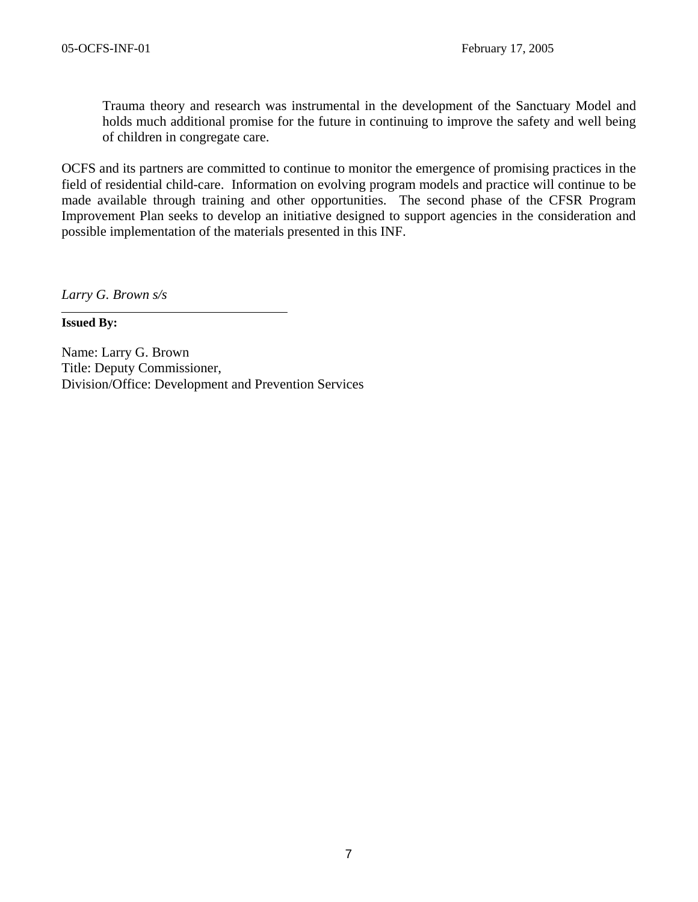Trauma theory and research was instrumental in the development of the Sanctuary Model and holds much additional promise for the future in continuing to improve the safety and well being of children in congregate care.

OCFS and its partners are committed to continue to monitor the emergence of promising practices in the field of residential child-care. Information on evolving program models and practice will continue to be made available through training and other opportunities. The second phase of the CFSR Program Improvement Plan seeks to develop an initiative designed to support agencies in the consideration and possible implementation of the materials presented in this INF.

*Larry G. Brown s/s* 

**Issued By:** 

Name: Larry G. Brown Title: Deputy Commissioner, Division/Office: Development and Prevention Services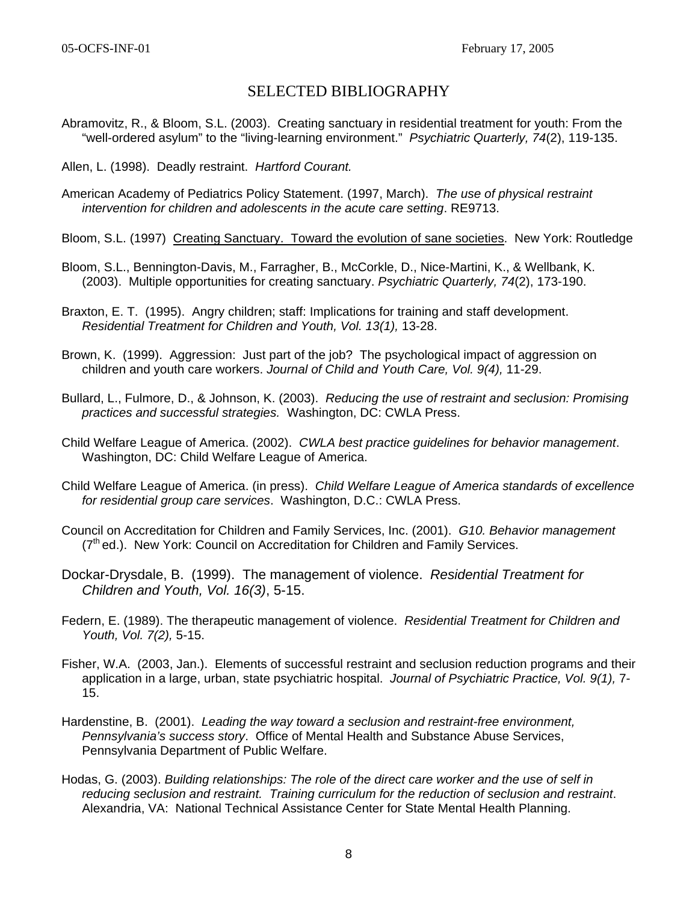# SELECTED BIBLIOGRAPHY

Abramovitz, R., & Bloom, S.L. (2003). Creating sanctuary in residential treatment for youth: From the "well-ordered asylum" to the "living-learning environment." *Psychiatric Quarterly, 74*(2), 119-135.

Allen, L. (1998). Deadly restraint. *Hartford Courant.* 

American Academy of Pediatrics Policy Statement. (1997, March). *The use of physical restraint intervention for children and adolescents in the acute care setting*. RE9713.

Bloom, S.L. (1997) Creating Sanctuary. Toward the evolution of sane societies. New York: Routledge

- Bloom, S.L., Bennington-Davis, M., Farragher, B., McCorkle, D., Nice-Martini, K., & Wellbank, K. (2003). Multiple opportunities for creating sanctuary. *Psychiatric Quarterly, 74*(2), 173-190.
- Braxton, E. T. (1995). Angry children; staff: Implications for training and staff development. *Residential Treatment for Children and Youth, Vol. 13(1),* 13-28.
- Brown, K. (1999). Aggression: Just part of the job? The psychological impact of aggression on children and youth care workers. *Journal of Child and Youth Care, Vol. 9(4),* 11-29.
- Bullard, L., Fulmore, D., & Johnson, K. (2003). *Reducing the use of restraint and seclusion: Promising practices and successful strategies.* Washington, DC: CWLA Press.
- Child Welfare League of America. (2002). *CWLA best practice guidelines for behavior management*. Washington, DC: Child Welfare League of America.
- Child Welfare League of America. (in press). *Child Welfare League of America standards of excellence for residential group care services*. Washington, D.C.: CWLA Press.
- Council on Accreditation for Children and Family Services, Inc. (2001). *G10. Behavior management*  (7<sup>th</sup> ed.). New York: Council on Accreditation for Children and Family Services.
- Dockar-Drysdale, B. (1999). The management of violence. *Residential Treatment for Children and Youth, Vol. 16(3)*, 5-15.
- Federn, E. (1989). The therapeutic management of violence. *Residential Treatment for Children and Youth, Vol. 7(2),* 5-15.
- Fisher, W.A. (2003, Jan.). Elements of successful restraint and seclusion reduction programs and their application in a large, urban, state psychiatric hospital. *Journal of Psychiatric Practice, Vol. 9(1),* 7- 15.
- Hardenstine, B. (2001). *Leading the way toward a seclusion and restraint-free environment, Pennsylvania's success story*. Office of Mental Health and Substance Abuse Services, Pennsylvania Department of Public Welfare.
- Hodas, G. (2003). *Building relationships: The role of the direct care worker and the use of self in reducing seclusion and restraint. Training curriculum for the reduction of seclusion and restraint*. Alexandria, VA: National Technical Assistance Center for State Mental Health Planning.